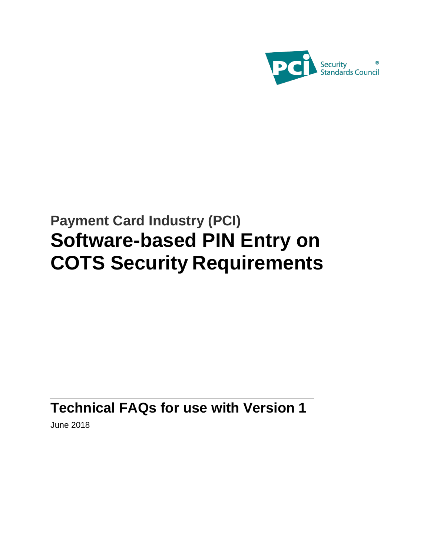

# **Payment Card Industry (PCI) Software-based PIN Entry on COTS Security Requirements**

## **Technical FAQs for use with Version 1**

June 2018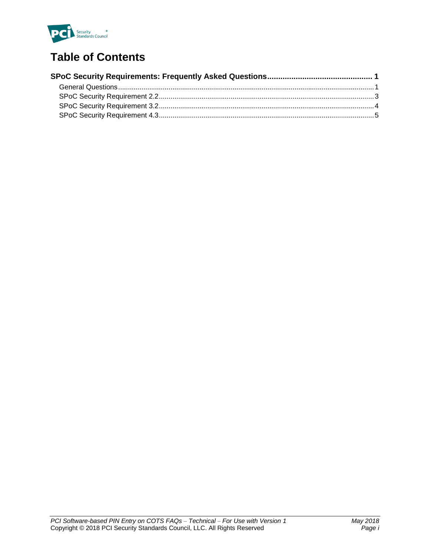

## **Table of Contents**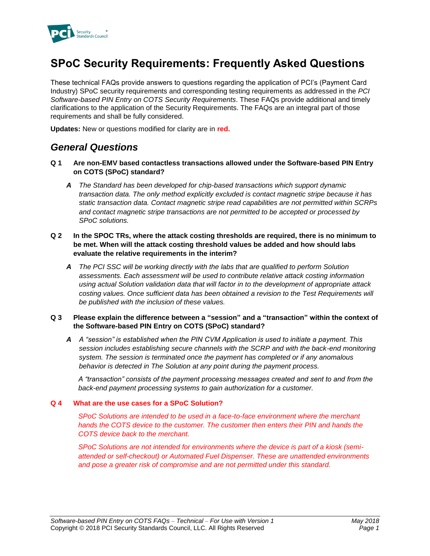

## **SPoC Security Requirements: Frequently Asked Questions**

These technical FAQs provide answers to questions regarding the application of PCI's (Payment Card Industry) SPoC security requirements and corresponding testing requirements as addressed in the *PCI Software-based PIN Entry on COTS Security Requirements*. These FAQs provide additional and timely clarifications to the application of the Security Requirements. The FAQs are an integral part of those requirements and shall be fully considered.

**Updates:** New or questions modified for clarity are in **red.**

## *General Questions*

- **Q 1 Are non-EMV based contactless transactions allowed under the Software-based PIN Entry on COTS (SPoC) standard?**
	- *A The Standard has been developed for chip-based transactions which support dynamic transaction data. The only method explicitly excluded is contact magnetic stripe because it has static transaction data. Contact magnetic stripe read capabilities are not permitted within SCRPs and contact magnetic stripe transactions are not permitted to be accepted or processed by SPoC solutions.*
- **Q 2 In the SPOC TRs, where the attack costing thresholds are required, there is no minimum to be met. When will the attack costing threshold values be added and how should labs evaluate the relative requirements in the interim?**
	- *A The PCI SSC will be working directly with the labs that are qualified to perform Solution assessments. Each assessment will be used to contribute relative attack costing information using actual Solution validation data that will factor in to the development of appropriate attack costing values. Once sufficient data has been obtained a revision to the Test Requirements will be published with the inclusion of these values.*

#### **Q 3 Please explain the difference between a "session" and a "transaction" within the context of the Software-based PIN Entry on COTS (SPoC) standard?**

*A A "session" is established when the PIN CVM Application is used to initiate a payment. This session includes establishing secure channels with the SCRP and with the back-end monitoring system. The session is terminated once the payment has completed or if any anomalous behavior is detected in The Solution at any point during the payment process.* 

*A "transaction" consists of the payment processing messages created and sent to and from the back-end payment processing systems to gain authorization for a customer.* 

#### **Q 4 What are the use cases for a SPoC Solution?**

*SPoC Solutions are intended to be used in a face-to-face environment where the merchant hands the COTS device to the customer. The customer then enters their PIN and hands the COTS device back to the merchant.* 

*SPoC Solutions are not intended for environments where the device is part of a kiosk (semiattended or self-checkout) or Automated Fuel Dispenser. These are unattended environments and pose a greater risk of compromise and are not permitted under this standard.*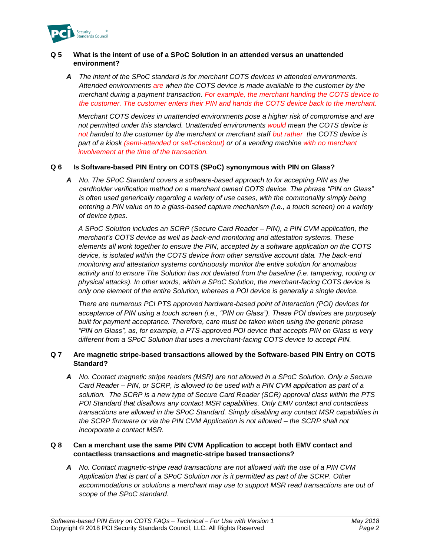

#### **Q 5 What is the intent of use of a SPoC Solution in an attended versus an unattended environment?**

*A The intent of the SPoC standard is for merchant COTS devices in attended environments. Attended environments are when the COTS device is made available to the customer by the merchant during a payment transaction. For example, the merchant handing the COTS device to the customer. The customer enters their PIN and hands the COTS device back to the merchant.*

*Merchant COTS devices in unattended environments pose a higher risk of compromise and are not permitted under this standard. Unattended environments would mean the COTS device is not handed to the customer by the merchant or merchant staff but rather the COTS device is part of a kiosk (semi-attended or self-checkout) or of a vending machine with no merchant involvement at the time of the transaction.*

#### **Q 6 Is Software-based PIN Entry on COTS (SPoC) synonymous with PIN on Glass?**

*A No. The SPoC Standard covers a software-based approach to for accepting PIN as the cardholder verification method on a merchant owned COTS device. The phrase "PIN on Glass" is often used generically regarding a variety of use cases, with the commonality simply being entering a PIN value on to a glass-based capture mechanism (i.e., a touch screen) on a variety of device types.* 

*A SPoC Solution includes an SCRP (Secure Card Reader – PIN), a PIN CVM application, the merchant's COTS device as well as back-end monitoring and attestation systems. These elements all work together to ensure the PIN, accepted by a software application on the COTS device, is isolated within the COTS device from other sensitive account data. The back-end monitoring and attestation systems continuously monitor the entire solution for anomalous activity and to ensure The Solution has not deviated from the baseline (i.e. tampering, rooting or physical attacks). In other words, within a SPoC Solution, the merchant-facing COTS device is only one element of the entire Solution, whereas a POI device is generally a single device.* 

*There are numerous PCI PTS approved hardware-based point of interaction (POI) devices for acceptance of PIN using a touch screen (i.e., "PIN on Glass"). These POI devices are purposely built for payment acceptance. Therefore, care must be taken when using the generic phrase "PIN on Glass", as, for example, a PTS-approved POI device that accepts PIN on Glass is very different from a SPoC Solution that uses a merchant-facing COTS device to accept PIN.*

#### **Q 7 Are magnetic stripe-based transactions allowed by the Software-based PIN Entry on COTS Standard?**

*A No. Contact magnetic stripe readers (MSR) are not allowed in a SPoC Solution. Only a Secure Card Reader – PIN, or SCRP, is allowed to be used with a PIN CVM application as part of a solution. The SCRP is a new type of Secure Card Reader (SCR) approval class within the PTS POI Standard that disallows any contact MSR capabilities. Only EMV contact and contactless transactions are allowed in the SPoC Standard. Simply disabling any contact MSR capabilities in the SCRP firmware or via the PIN CVM Application is not allowed – the SCRP shall not incorporate a contact MSR.*

#### **Q 8 Can a merchant use the same PIN CVM Application to accept both EMV contact and contactless transactions and magnetic-stripe based transactions?**

*A No. Contact magnetic-stripe read transactions are not allowed with the use of a PIN CVM Application that is part of a SPoC Solution nor is it permitted as part of the SCRP. Other accommodations or solutions a merchant may use to support MSR read transactions are out of scope of the SPoC standard.*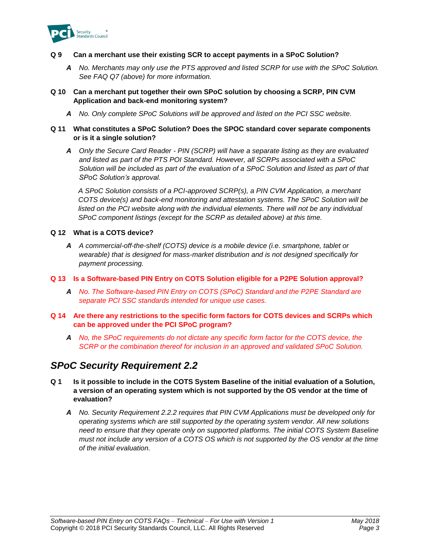

#### **Q 9 Can a merchant use their existing SCR to accept payments in a SPoC Solution?**

*A No. Merchants may only use the PTS approved and listed SCRP for use with the SPoC Solution. See FAQ Q7 (above) for more information.*

#### **Q 10 Can a merchant put together their own SPoC solution by choosing a SCRP, PIN CVM Application and back-end monitoring system?**

*A No. Only complete SPoC Solutions will be approved and listed on the PCI SSC website.*

#### **Q 11 What constitutes a SPoC Solution? Does the SPOC standard cover separate components or is it a single solution?**

*A Only the Secure Card Reader - PIN (SCRP) will have a separate listing as they are evaluated and listed as part of the PTS POI Standard. However, all SCRPs associated with a SPoC Solution will be included as part of the evaluation of a SPoC Solution and listed as part of that SPoC Solution's approval.* 

*A SPoC Solution consists of a PCI-approved SCRP(s), a PIN CVM Application, a merchant COTS device(s) and back-end monitoring and attestation systems. The SPoC Solution will be*  listed on the PCI website along with the individual elements. There will not be any individual *SPoC component listings (except for the SCRP as detailed above) at this time.*

#### **Q 12 What is a COTS device?**

*A A commercial-off-the-shelf (COTS) device is a mobile device (i.e. smartphone, tablet or wearable) that is designed for mass-market distribution and is not designed specifically for payment processing.*

#### **Q 13 Is a Software-based PIN Entry on COTS Solution eligible for a P2PE Solution approval?**

*A No. The Software-based PIN Entry on COTS (SPoC) Standard and the P2PE Standard are separate PCI SSC standards intended for unique use cases.*

#### **Q 14 Are there any restrictions to the specific form factors for COTS devices and SCRPs which can be approved under the PCI SPoC program?**

*A No, the SPoC requirements do not dictate any specific form factor for the COTS device, the SCRP or the combination thereof for inclusion in an approved and validated SPoC Solution.*

### *SPoC Security Requirement 2.2*

- **Q 1 Is it possible to include in the COTS System Baseline of the initial evaluation of a Solution, a version of an operating system which is not supported by the OS vendor at the time of evaluation?**
	- *A No. Security Requirement 2.2.2 requires that PIN CVM Applications must be developed only for operating systems which are still supported by the operating system vendor. All new solutions need to ensure that they operate only on supported platforms. The initial COTS System Baseline must not include any version of a COTS OS which is not supported by the OS vendor at the time of the initial evaluation.*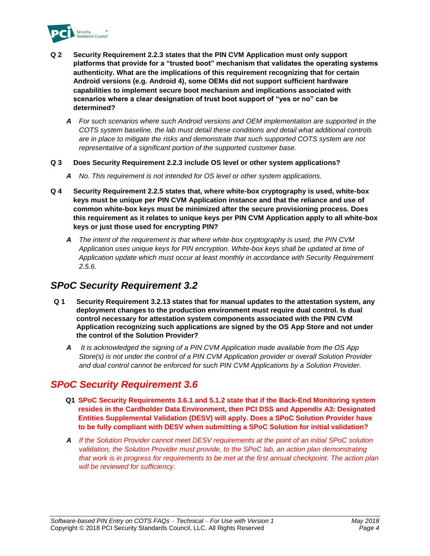

- **Q 2 Security Requirement 2.2.3 states that the PIN CVM Application must only support platforms that provide for a "trusted boot" mechanism that validates the operating systems authenticity. What are the implications of this requirement recognizing that for certain Android versions (e.g. Android 4), some OEMs did not support sufficient hardware capabilities to implement secure boot mechanism and implications associated with scenarios where a clear designation of trust boot support of "yes or no" can be determined?**
	- *A For such scenarios where such Android versions and OEM implementation are supported in the COTS system baseline, the lab must detail these conditions and detail what additional controls are in place to mitigate the risks and demonstrate that such supported COTS system are not representative of a significant portion of the supported customer base.*
- **Q 3 Does Security Requirement 2.2.3 include OS level or other system applications?**
	- *A No. This requirement is not intended for OS level or other system applications.*
- **Q 4 Security Requirement 2.2.5 states that, where white-box cryptography is used, white-box keys must be unique per PIN CVM Application instance and that the reliance and use of common white-box keys must be minimized after the secure provisioning process. Does this requirement as it relates to unique keys per PIN CVM Application apply to all white-box keys or just those used for encrypting PIN?** 
	- *A The intent of the requirement is that where white-box cryptography is used, the PIN CVM Application uses unique keys for PIN encryption. White-box keys shall be updated at time of Application update which must occur at least monthly in accordance with Security Requirement 2.5.6.*

## *SPoC Security Requirement 3.2*

- **Q 1 Security Requirement 3.2.13 states that for manual updates to the attestation system, any deployment changes to the production environment must require dual control. Is dual control necessary for attestation system components associated with the PIN CVM Application recognizing such applications are signed by the OS App Store and not under the control of the Solution Provider?**
	- *A It is acknowledged the signing of a PIN CVM Application made available from the OS App Store(s) is not under the control of a PIN CVM Application provider or overall Solution Provider and dual control cannot be enforced for such PIN CVM Applications by a Solution Provider.*

## *SPoC Security Requirement 3.6*

- **Q1 SPoC Security Requirements 3.6.1 and 5.1.2 state that if the Back-End Monitoring system resides in the Cardholder Data Environment, then PCI DSS and Appendix A3: Designated Entities Supplemental Validation (DESV) will apply. Does a SPoC Solution Provider have to be fully compliant with DESV when submitting a SPoC Solution for initial validation?**
- *A If the Solution Provider cannot meet DESV requirements at the point of an initial SPoC solution validation, the Solution Provider must provide, to the SPoC lab, an action plan demonstrating that work is in progress for requirements to be met at the first annual checkpoint. The action plan will be reviewed for sufficiency.*